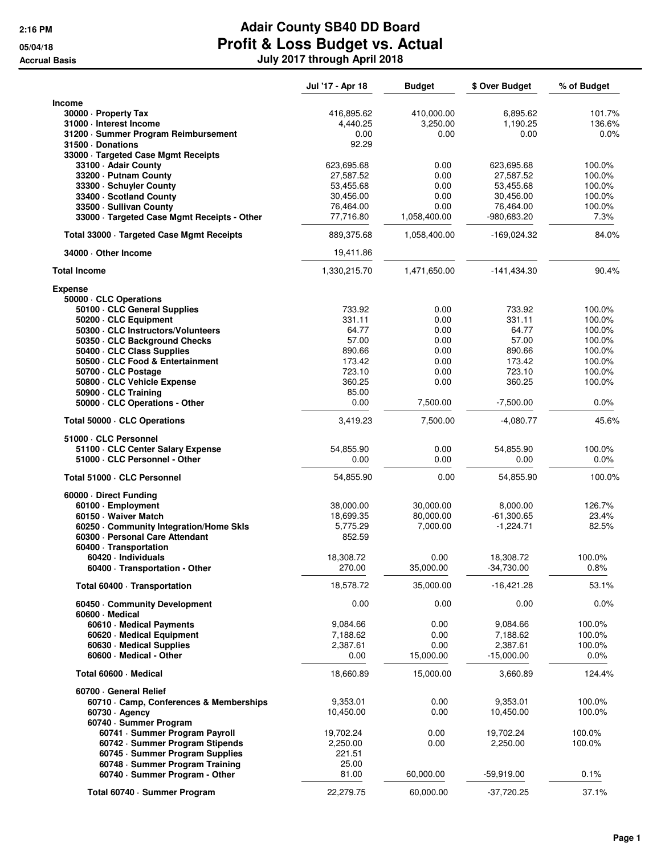|                                              | Jul '17 - Apr 18 | <b>Budget</b> | \$ Over Budget | % of Budget |
|----------------------------------------------|------------------|---------------|----------------|-------------|
| <b>Income</b>                                |                  |               |                |             |
| 30000 - Property Tax                         | 416,895.62       | 410,000.00    | 6,895.62       | 101.7%      |
| 31000 - Interest Income                      | 4,440.25         | 3,250.00      | 1,190.25       | 136.6%      |
| 31200 · Summer Program Reimbursement         | 0.00             | 0.00          | 0.00           | $0.0\%$     |
| 31500 Donations                              | 92.29            |               |                |             |
| 33000 · Targeted Case Mgmt Receipts          |                  |               |                |             |
| 33100 - Adair County                         | 623,695.68       | 0.00          | 623,695.68     | 100.0%      |
| 33200 - Putnam County                        | 27,587.52        | 0.00          | 27,587.52      | 100.0%      |
| 33300 · Schuyler County                      | 53,455.68        | 0.00          | 53,455.68      | 100.0%      |
| 33400 · Scotland County                      | 30,456.00        | 0.00          | 30,456.00      | 100.0%      |
| 33500 · Sullivan County                      | 76,464.00        | 0.00          | 76,464.00      | 100.0%      |
| 33000 · Targeted Case Mgmt Receipts - Other  | 77,716.80        | 1,058,400.00  | -980,683.20    | 7.3%        |
| Total 33000 · Targeted Case Mgmt Receipts    | 889,375.68       | 1,058,400.00  | -169,024.32    | 84.0%       |
| 34000 Other Income                           | 19,411.86        |               |                |             |
| <b>Total Income</b>                          | 1,330,215.70     | 1,471,650.00  | $-141,434.30$  | 90.4%       |
| <b>Expense</b>                               |                  |               |                |             |
| 50000 · CLC Operations                       |                  |               |                |             |
| 50100 CLC General Supplies                   | 733.92           | 0.00          | 733.92         | 100.0%      |
| 50200 · CLC Equipment                        | 331.11           | 0.00          | 331.11         | 100.0%      |
| 50300 CLC Instructors/Volunteers             | 64.77            | 0.00          | 64.77          | 100.0%      |
| 50350 CLC Background Checks                  | 57.00            | 0.00          | 57.00          | 100.0%      |
| 50400 CLC Class Supplies                     | 890.66           | 0.00          | 890.66         | 100.0%      |
| 50500 · CLC Food & Entertainment             | 173.42           | 0.00          | 173.42         | 100.0%      |
| 50700 CLC Postage                            | 723.10           | 0.00          | 723.10         | 100.0%      |
| 50800 · CLC Vehicle Expense                  | 360.25           | 0.00          | 360.25         | 100.0%      |
| 50900 · CLC Training                         | 85.00            |               |                |             |
| 50000 · CLC Operations - Other               | 0.00             | 7,500.00      | $-7,500.00$    | 0.0%        |
| Total 50000 · CLC Operations                 | 3,419.23         | 7,500.00      | $-4,080.77$    | 45.6%       |
| 51000 · CLC Personnel                        |                  |               |                |             |
| 51100 CLC Center Salary Expense              | 54,855.90        | 0.00          | 54,855.90      | 100.0%      |
| 51000 · CLC Personnel - Other                | 0.00             | 0.00          | 0.00           | 0.0%        |
| Total 51000 · CLC Personnel                  | 54,855.90        | 0.00          | 54,855.90      | 100.0%      |
| 60000 Direct Funding                         |                  |               |                |             |
| 60100 · Employment                           | 38,000.00        | 30,000.00     | 8,000.00       | 126.7%      |
| 60150 Waiver Match                           | 18,699.35        | 80,000.00     | $-61,300.65$   | 23.4%       |
| 60250 Community Integration/Home Skls        | 5,775.29         | 7,000.00      | $-1,224.71$    | 82.5%       |
| 60300 · Personal Care Attendant              | 852.59           |               |                |             |
| 60400 · Transportation                       |                  |               |                |             |
| 60420 · Individuals                          | 18,308.72        | 0.00          | 18,308.72      | 100.0%      |
| 60400 · Transportation - Other               | 270.00           | 35,000.00     | $-34,730.00$   | 0.8%        |
| Total 60400 · Transportation                 | 18,578.72        | 35,000.00     | $-16,421.28$   | 53.1%       |
| 60450 Community Development<br>60600 Medical | 0.00             | 0.00          | 0.00           | 0.0%        |
| 60610 · Medical Payments                     | 9,084.66         | 0.00          | 9,084.66       | 100.0%      |
| 60620 · Medical Equipment                    | 7,188.62         | 0.00          | 7,188.62       | 100.0%      |
| 60630 Medical Supplies                       | 2,387.61         | 0.00          | 2,387.61       | 100.0%      |
| 60600 - Medical - Other                      | 0.00             | 15,000.00     | $-15,000.00$   | 0.0%        |
| Total 60600 · Medical                        | 18,660.89        | 15,000.00     | 3,660.89       | 124.4%      |
|                                              |                  |               |                |             |
| 60700 General Relief                         |                  |               |                |             |
| 60710 Camp, Conferences & Memberships        | 9,353.01         | 0.00          | 9,353.01       | 100.0%      |
| $60730 \cdot$ Agency                         | 10,450.00        | 0.00          | 10,450.00      | 100.0%      |
| 60740 · Summer Program                       |                  |               |                |             |
| 60741 · Summer Program Payroll               | 19,702.24        | 0.00          | 19,702.24      | 100.0%      |
| 60742 · Summer Program Stipends              | 2,250.00         | 0.00          | 2,250.00       | 100.0%      |
| 60745 · Summer Program Supplies              | 221.51           |               |                |             |
| 60748 · Summer Program Training              | 25.00            |               |                |             |
| 60740 · Summer Program - Other               | 81.00            | 60,000.00     | $-59,919.00$   | 0.1%        |
| Total 60740 · Summer Program                 | 22,279.75        | 60,000.00     | $-37,720.25$   | 37.1%       |
|                                              |                  |               |                |             |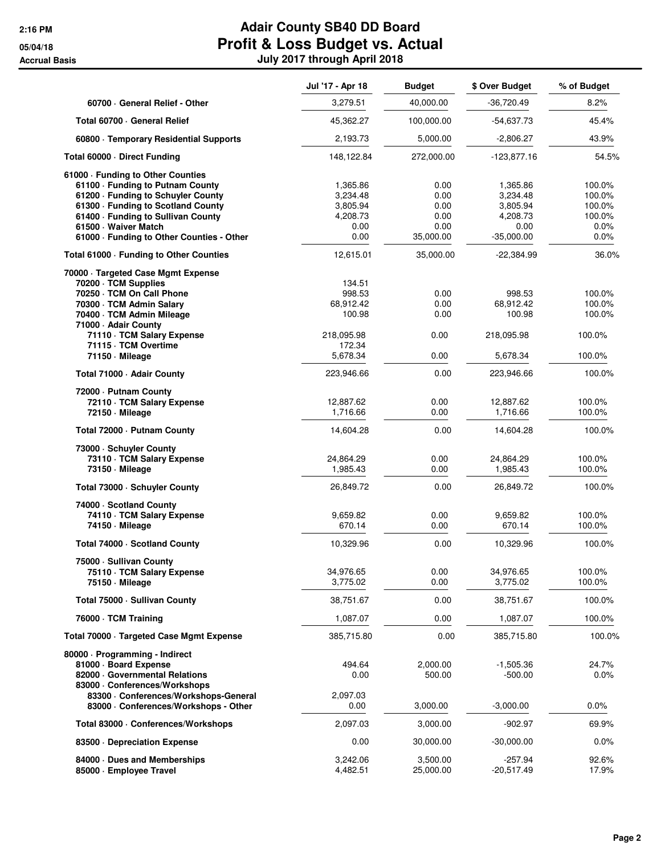|                                                                   | Jul '17 - Apr 18      | <b>Budget</b> | \$ Over Budget        | % of Budget      |
|-------------------------------------------------------------------|-----------------------|---------------|-----------------------|------------------|
| 60700 General Relief - Other                                      | 3,279.51              | 40,000.00     | $-36,720.49$          | 8.2%             |
| Total 60700 · General Relief                                      | 45,362.27             | 100,000.00    | -54,637.73            | 45.4%            |
| 60800 · Temporary Residential Supports                            | 2,193.73              | 5,000.00      | $-2,806.27$           | 43.9%            |
| Total 60000 Direct Funding                                        | 148,122.84            | 272,000.00    | $-123,877.16$         | 54.5%            |
| 61000 - Funding to Other Counties                                 |                       |               |                       |                  |
| 61100 - Funding to Putnam County                                  | 1,365.86              | 0.00          | 1,365.86              | 100.0%           |
| 61200 · Funding to Schuyler County                                | 3,234.48              | 0.00          | 3,234.48              | 100.0%           |
| 61300 · Funding to Scotland County                                | 3,805.94              | 0.00          | 3,805.94              | 100.0%           |
| 61400 - Funding to Sullivan County                                | 4,208.73              | 0.00<br>0.00  | 4,208.73              | 100.0%           |
| 61500 - Waiver Match<br>61000 - Funding to Other Counties - Other | 0.00<br>0.00          | 35,000.00     | 0.00<br>$-35,000.00$  | 0.0%<br>0.0%     |
| Total 61000 · Funding to Other Counties                           | 12,615.01             | 35,000.00     | $-22,384.99$          | 36.0%            |
| 70000 · Targeted Case Mgmt Expense                                |                       |               |                       |                  |
| 70200 · TCM Supplies                                              | 134.51                |               |                       |                  |
| 70250 · TCM On Call Phone                                         | 998.53                | 0.00          | 998.53                | 100.0%           |
| 70300 · TCM Admin Salary                                          | 68,912.42             | 0.00          | 68,912.42             | 100.0%           |
| 70400 · TCM Admin Mileage<br>71000 - Adair County                 | 100.98                | 0.00          | 100.98                | 100.0%           |
| 71110 · TCM Salary Expense                                        | 218,095.98            | 0.00          | 218,095.98            | 100.0%           |
| 71115 · TCM Overtime<br>71150 · Mileage                           | 172.34<br>5,678.34    | 0.00          | 5,678.34              | 100.0%           |
| Total 71000 · Adair County                                        | 223,946.66            | 0.00          | 223,946.66            | 100.0%           |
| 72000 - Putnam County                                             |                       |               |                       |                  |
| 72110 · TCM Salary Expense                                        | 12,887.62             | 0.00          | 12,887.62             | 100.0%           |
| 72150 · Mileage                                                   | 1,716.66              | 0.00          | 1,716.66              | 100.0%           |
| Total 72000 - Putnam County                                       | 14,604.28             | 0.00          | 14,604.28             | 100.0%           |
| 73000 - Schuyler County                                           |                       |               |                       |                  |
| 73110 · TCM Salary Expense                                        | 24,864.29             | 0.00          | 24,864.29             | 100.0%           |
| 73150 - Mileage                                                   | 1,985.43              | 0.00          | 1,985.43              | 100.0%           |
| Total 73000 · Schuyler County                                     | 26,849.72             | 0.00          | 26,849.72             | 100.0%           |
| 74000 Scotland County                                             |                       |               |                       |                  |
| 74110 · TCM Salary Expense                                        | 9,659.82              | 0.00          | 9,659.82              | 100.0%           |
| 74150 - Mileage                                                   | 670.14                | 0.00          | 670.14                | 100.0%           |
| Total 74000 · Scotland County                                     | 10,329.96             | 0.00          | 10,329.96             | 100.0%           |
| 75000 - Sullivan County                                           |                       |               |                       |                  |
| 75110 · TCM Salary Expense<br>75150 - Mileage                     | 34,976.65<br>3,775.02 | 0.00<br>0.00  | 34,976.65<br>3,775.02 | 100.0%<br>100.0% |
| Total 75000 - Sullivan County                                     | 38,751.67             | 0.00          | 38,751.67             | 100.0%           |
| 76000 · TCM Training                                              | 1,087.07              | 0.00          | 1,087.07              | 100.0%           |
| Total 70000 · Targeted Case Mgmt Expense                          | 385,715.80            | 0.00          | 385,715.80            | 100.0%           |
|                                                                   |                       |               |                       |                  |
| 80000 · Programming - Indirect<br>81000 · Board Expense           | 494.64                | 2,000.00      | -1,505.36             | 24.7%            |
| 82000 Governmental Relations                                      | 0.00                  | 500.00        | $-500.00$             | 0.0%             |
| 83000 Conferences/Workshops                                       |                       |               |                       |                  |
| 83300 · Conferences/Workshops-General                             | 2,097.03              |               |                       |                  |
| 83000 · Conferences/Workshops - Other                             | 0.00                  | 3,000.00      | $-3,000.00$           | 0.0%             |
| Total 83000 · Conferences/Workshops                               | 2,097.03              | 3,000.00      | $-902.97$             | 69.9%            |
| 83500 Depreciation Expense                                        | 0.00                  | 30,000.00     | $-30,000.00$          | 0.0%             |
| 84000 Dues and Memberships                                        | 3,242.06              | 3,500.00      | -257.94               | 92.6%            |
| 85000 · Employee Travel                                           | 4,482.51              | 25,000.00     | $-20,517.49$          | 17.9%            |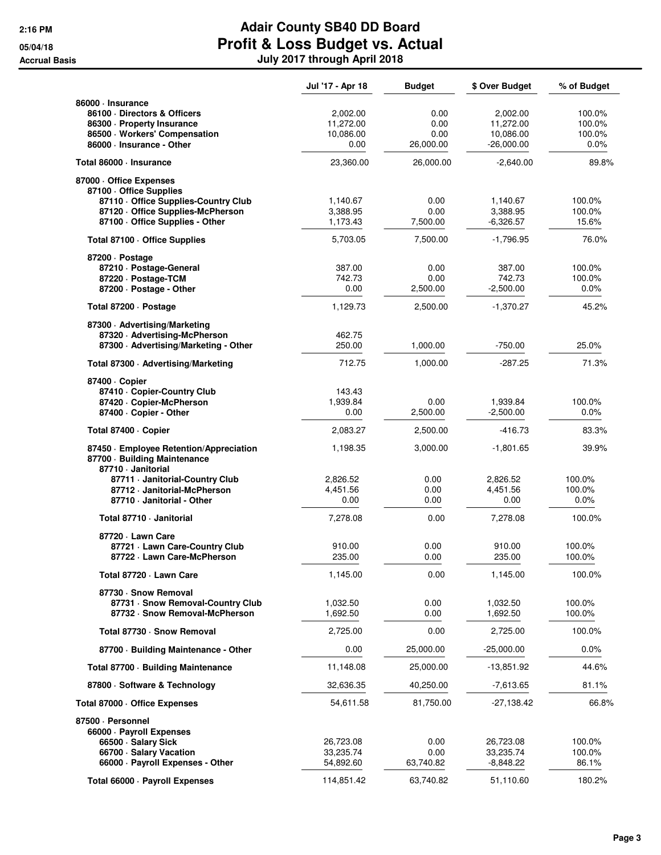|                                                                                                                                                                                              | Jul '17 - Apr 18                                  | <b>Budget</b>                          | \$ Over Budget                                     | % of Budget                           |
|----------------------------------------------------------------------------------------------------------------------------------------------------------------------------------------------|---------------------------------------------------|----------------------------------------|----------------------------------------------------|---------------------------------------|
| 86000 · Insurance<br>86100 Directors & Officers<br>86300 · Property Insurance<br>86500 · Workers' Compensation<br>86000 · Insurance - Other                                                  | 2,002.00<br>11,272.00<br>10,086.00<br>0.00        | 0.00<br>0.00<br>0.00<br>26,000.00      | 2,002.00<br>11,272.00<br>10,086.00<br>$-26,000.00$ | 100.0%<br>100.0%<br>100.0%<br>$0.0\%$ |
| Total 86000 · Insurance                                                                                                                                                                      | 23,360.00                                         | 26,000.00                              | $-2,640.00$                                        | 89.8%                                 |
| 87000 Office Expenses<br>87100 Office Supplies<br>87110 - Office Supplies-Country Club<br>87120 Office Supplies-McPherson<br>87100 - Office Supplies - Other                                 | 1,140.67<br>3,388.95<br>1,173.43                  | 0.00<br>0.00<br>7,500.00               | 1,140.67<br>3,388.95<br>$-6,326.57$                | 100.0%<br>100.0%<br>15.6%             |
| Total 87100 · Office Supplies                                                                                                                                                                | 5,703.05                                          | 7,500.00                               | $-1,796.95$                                        | 76.0%                                 |
| 87200 · Postage<br>87210 · Postage-General<br>87220 · Postage-TCM<br>87200 - Postage - Other                                                                                                 | 387.00<br>742.73<br>0.00                          | 0.00<br>0.00<br>2,500.00               | 387.00<br>742.73<br>$-2,500.00$                    | 100.0%<br>100.0%<br>0.0%              |
| Total 87200 · Postage                                                                                                                                                                        | 1,129.73                                          | 2,500.00                               | $-1,370.27$                                        | 45.2%                                 |
| 87300 · Advertising/Marketing<br>87320 · Advertising-McPherson<br>87300 - Advertising/Marketing - Other                                                                                      | 462.75<br>250.00<br>712.75                        | 1,000.00                               | $-750.00$<br>$-287.25$                             | 25.0%                                 |
| Total 87300 · Advertising/Marketing                                                                                                                                                          |                                                   | 1,000.00                               |                                                    | 71.3%                                 |
| 87400 · Copier<br>87410 - Copier-Country Club<br>87420 - Copier-McPherson<br>87400 · Copier - Other                                                                                          | 143.43<br>1,939.84<br>0.00                        | 0.00<br>2,500.00                       | 1,939.84<br>$-2,500.00$                            | 100.0%<br>$0.0\%$                     |
| Total 87400 · Copier                                                                                                                                                                         | 2,083.27                                          | 2,500.00                               | $-416.73$                                          | 83.3%                                 |
| 87450 · Employee Retention/Appreciation<br>87700 · Building Maintenance<br>87710 Janitorial<br>87711 · Janitorial-Country Club<br>87712 · Janitorial-McPherson<br>87710 - Janitorial - Other | 1,198.35<br>2,826.52<br>4,451.56<br>0.00          | 3,000.00<br>0.00<br>0.00<br>0.00       | -1,801.65<br>2,826.52<br>4,451.56<br>0.00          | 39.9%<br>100.0%<br>100.0%<br>$0.0\%$  |
| Total 87710 - Janitorial                                                                                                                                                                     | 7,278.08                                          | 0.00                                   | 7,278.08                                           | 100.0%                                |
| 87720 · Lawn Care<br>87721 · Lawn Care-Country Club<br>87722 · Lawn Care-McPherson                                                                                                           | 910.00<br>235.00                                  | 0.00<br>0.00                           | 910.00<br>235.00                                   | 100.0%<br>100.0%                      |
| Total 87720 - Lawn Care                                                                                                                                                                      | 1,145.00                                          | 0.00                                   | 1,145.00                                           | 100.0%                                |
| 87730 · Snow Removal<br>87731 · Snow Removal-Country Club<br>87732 · Snow Removal-McPherson                                                                                                  | 1,032.50<br>1,692.50                              | 0.00<br>0.00                           | 1,032.50<br>1,692.50                               | 100.0%<br>100.0%                      |
| Total 87730 · Snow Removal                                                                                                                                                                   | 2,725.00                                          | 0.00                                   | 2,725.00                                           | 100.0%                                |
| 87700 - Building Maintenance - Other                                                                                                                                                         | 0.00                                              | 25,000.00                              | $-25,000.00$                                       | 0.0%                                  |
| Total 87700 · Building Maintenance                                                                                                                                                           | 11,148.08                                         | 25,000.00                              | $-13,851.92$                                       | 44.6%                                 |
| 87800 · Software & Technology                                                                                                                                                                | 32,636.35                                         | 40,250.00                              | -7,613.65                                          | 81.1%                                 |
| Total 87000 Office Expenses                                                                                                                                                                  | 54,611.58                                         | 81,750.00                              | -27,138.42                                         | 66.8%                                 |
| 87500 · Personnel<br>66000 · Payroll Expenses<br>66500 · Salary Sick<br>66700 · Salary Vacation<br>66000 · Payroll Expenses - Other<br>Total 66000 · Payroll Expenses                        | 26,723.08<br>33,235.74<br>54,892.60<br>114,851.42 | 0.00<br>0.00<br>63,740.82<br>63,740.82 | 26,723.08<br>33,235.74<br>-8,848.22<br>51,110.60   | 100.0%<br>100.0%<br>86.1%<br>180.2%   |
|                                                                                                                                                                                              |                                                   |                                        |                                                    |                                       |